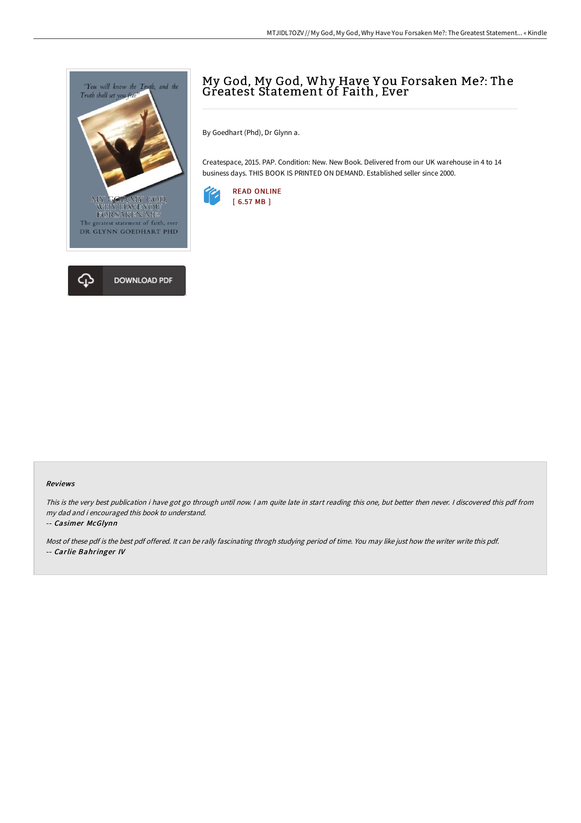

# My God, My God, Why Have Y ou Forsaken Me?: The Greatest Statement of Faith, Ever

By Goedhart (Phd), Dr Glynn a.

Createspace, 2015. PAP. Condition: New. New Book. Delivered from our UK warehouse in 4 to 14 business days. THIS BOOK IS PRINTED ON DEMAND. Established seller since 2000.



#### Reviews

This is the very best publication i have got go through until now. I am quite late in start reading this one, but better then never. I discovered this pdf from my dad and i encouraged this book to understand.

#### -- Casimer McGlynn

Most of these pdf is the best pdf offered. It can be rally fascinating throgh studying period of time. You may like just how the writer write this pdf. -- Carlie Bahringer IV